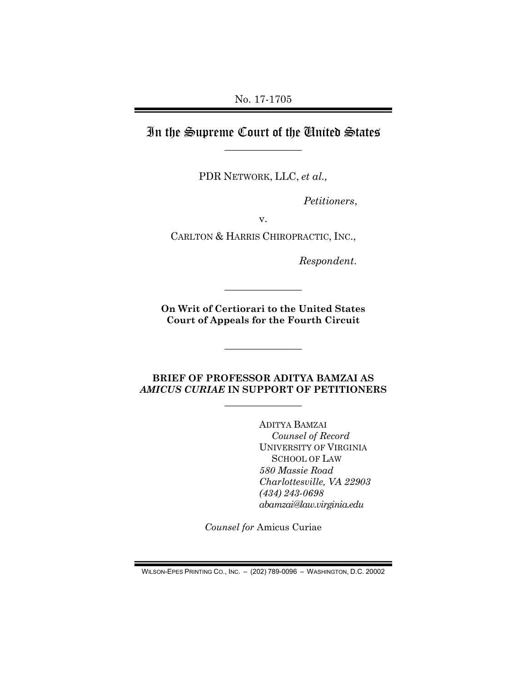No. 17-1705

## In the Supreme Court of the United States  $\overline{\phantom{a}}$  , where  $\overline{\phantom{a}}$

PDR NETWORK, LLC, et al.,

Petitioners,

v.

CARLTON & HARRIS CHIROPRACTIC, INC.,

Respondent.

On Writ of Certiorari to the United States Court of Appeals for the Fourth Circuit

 $\overline{\phantom{a}}$  , where  $\overline{\phantom{a}}$ 

 $\overline{\phantom{a}}$  , where  $\overline{\phantom{a}}$ 

#### BRIEF OF PROFESSOR ADITYA BAMZAI AS AMICUS CURIAE IN SUPPORT OF PETITIONERS

 $\overline{\phantom{a}}$  , where  $\overline{\phantom{a}}$ 

ADITYA BAMZAI Counsel of Record UNIVERSITY OF VIRGINIA SCHOOL OF LAW 580 Massie Road Charlottesville, VA 22903 (434) 243-0698 abamzai@law.virginia.edu

Counsel for Amicus Curiae

WILSON-EPES PRINTING CO., INC. – (202) 789-0096 – WASHINGTON, D.C. 20002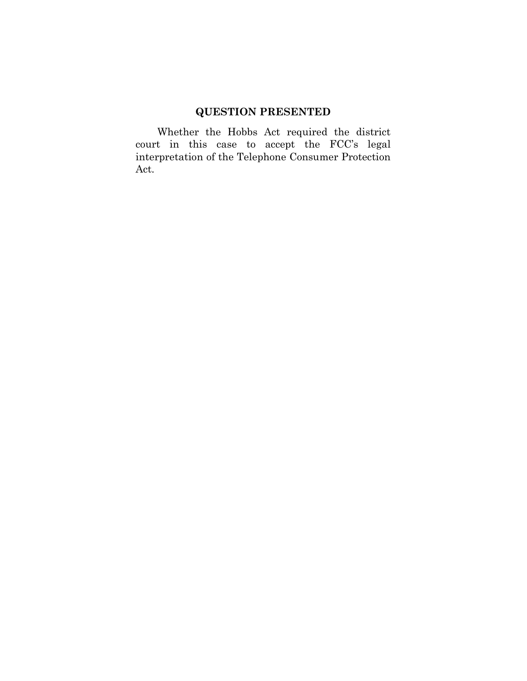# QUESTION PRESENTED

 Whether the Hobbs Act required the district court in this case to accept the FCC's legal interpretation of the Telephone Consumer Protection Act.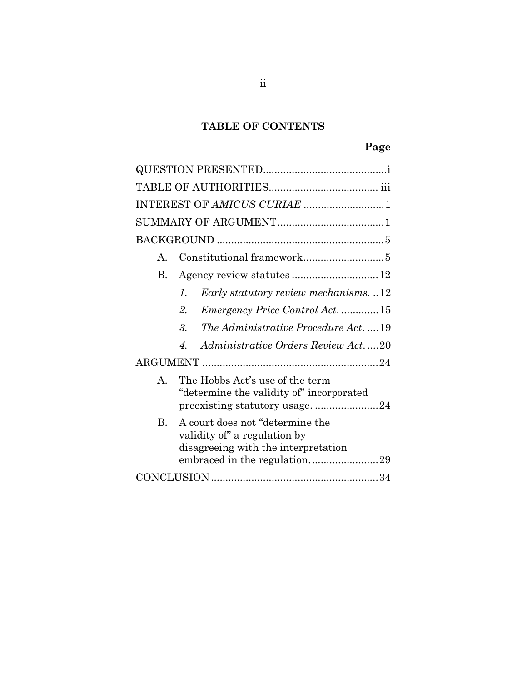# TABLE OF CONTENTS

|              | INTEREST OF AMICUS CURIAE 1                                                                            |
|--------------|--------------------------------------------------------------------------------------------------------|
|              |                                                                                                        |
|              |                                                                                                        |
| $\mathsf{A}$ | Constitutional framework5                                                                              |
| В.           |                                                                                                        |
|              | Early statutory review mechanisms. 12<br>$\mathcal{I}$ .                                               |
|              | <i>Emergency Price Control Act.</i> 15<br>2.                                                           |
|              | 3.<br>The Administrative Procedure Act.  19                                                            |
|              | <i>Administrative Orders Review Act.</i> 20<br>$\boldsymbol{\varLambda}$                               |
|              |                                                                                                        |
| $\mathbf{A}$ | The Hobbs Act's use of the term<br>"determine the validity of" incorporated                            |
| $\rm B$ .    | A court does not "determine the<br>validity of" a regulation by<br>disagreeing with the interpretation |
|              |                                                                                                        |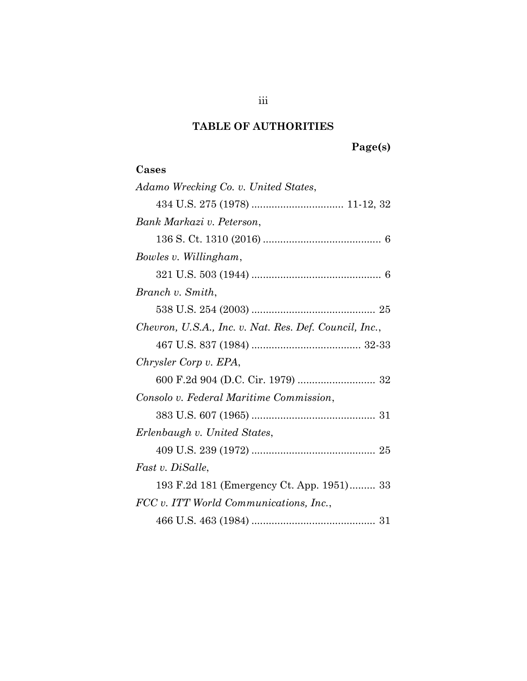# TABLE OF AUTHORITIES

# Cases

| Adamo Wrecking Co. v. United States,                   |
|--------------------------------------------------------|
|                                                        |
| Bank Markazi v. Peterson,                              |
|                                                        |
| Bowles v. Willingham,                                  |
|                                                        |
| Branch v. Smith,                                       |
|                                                        |
| Chevron, U.S.A., Inc. v. Nat. Res. Def. Council, Inc., |
|                                                        |
| Chrysler Corp v. EPA,                                  |
|                                                        |
| Consolo v. Federal Maritime Commission,                |
|                                                        |
| Erlenbaugh v. United States,                           |
|                                                        |
| Fast v. DiSalle,                                       |
| 193 F.2d 181 (Emergency Ct. App. 1951) 33              |
| FCC v. ITT World Communications, Inc.,                 |
|                                                        |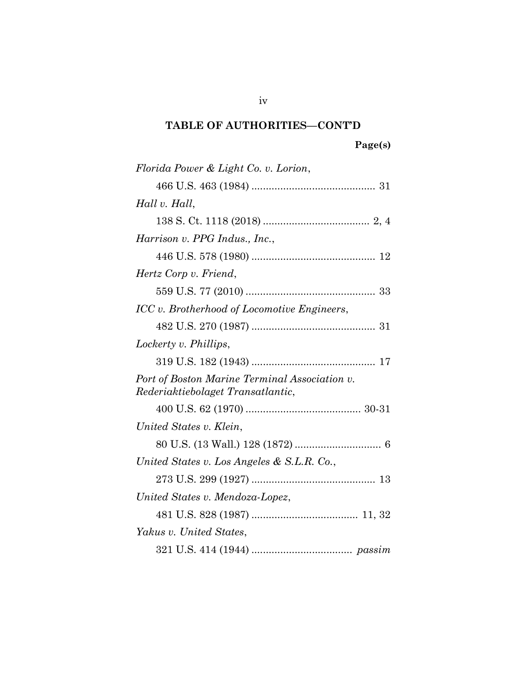| Florida Power & Light Co. v. Lorion,                                               |
|------------------------------------------------------------------------------------|
|                                                                                    |
| Hall v. Hall,                                                                      |
|                                                                                    |
| Harrison v. PPG Indus., Inc.,                                                      |
|                                                                                    |
| Hertz Corp v. Friend,                                                              |
|                                                                                    |
| ICC v. Brotherhood of Locomotive Engineers,                                        |
|                                                                                    |
| Lockerty v. Phillips,                                                              |
|                                                                                    |
| Port of Boston Marine Terminal Association v.<br>Rederiaktiebolaget Transatlantic, |
|                                                                                    |
| United States v. Klein,                                                            |
|                                                                                    |
| United States v. Los Angeles & S.L.R. Co.,                                         |
|                                                                                    |
| United States v. Mendoza-Lopez,                                                    |
|                                                                                    |
| Yakus v. United States,                                                            |
|                                                                                    |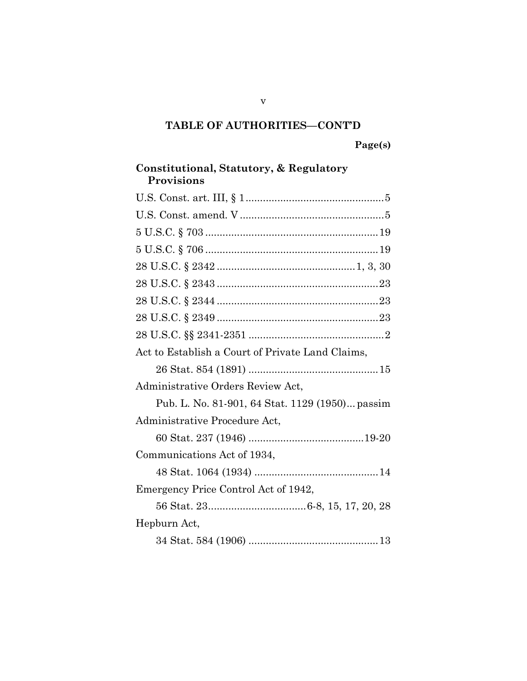# Constitutional, Statutory, & Regulatory Provisions U.S. Const. art. III, § 1 ................................................ 5 U.S. Const. amend. V .................................................. 5 5 U.S.C. § 703 ............................................................ 19 5 U.S.C. § 706 ............................................................ 19 28 U.S.C. § 2342 ................................................ 1, 3, 30 28 U.S.C. § 2343 ........................................................ 23 28 U.S.C. § 2344 ........................................................ 23 28 U.S.C. § 2349 ........................................................ 23 28 U.S.C. §§ 2341-2351 ............................................... 2 Act to Establish a Court of Private Land Claims, 26 Stat. 854 (1891) ............................................. 15 Administrative Orders Review Act, Pub. L. No. 81-901, 64 Stat. 1129 (1950) ... passim Administrative Procedure Act, 60 Stat. 237 (1946) ........................................ 19-20 Communications Act of 1934, 48 Stat. 1064 (1934) ........................................... 14 Emergency Price Control Act of 1942, 56 Stat. 23 .................................. 6-8, 15, 17, 20, 28 Hepburn Act, 34 Stat. 584 (1906) ............................................. 13

v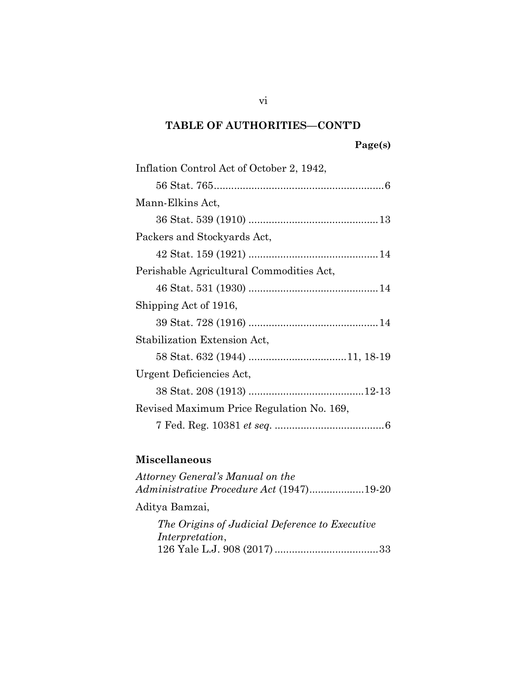| Inflation Control Act of October 2, 1942, |
|-------------------------------------------|
|                                           |
| Mann-Elkins Act,                          |
|                                           |
| Packers and Stockyards Act,               |
|                                           |
| Perishable Agricultural Commodities Act,  |
|                                           |
| Shipping Act of 1916,                     |
|                                           |
| Stabilization Extension Act,              |
|                                           |
| Urgent Deficiencies Act,                  |
|                                           |
| Revised Maximum Price Regulation No. 169, |
|                                           |

# Miscellaneous

| Attorney General's Manual on the<br>Administrative Procedure Act (1947)19-20 |
|------------------------------------------------------------------------------|
| Aditya Bamzai,                                                               |
| The Origins of Judicial Deference to Executive<br>Interpretation,            |

vi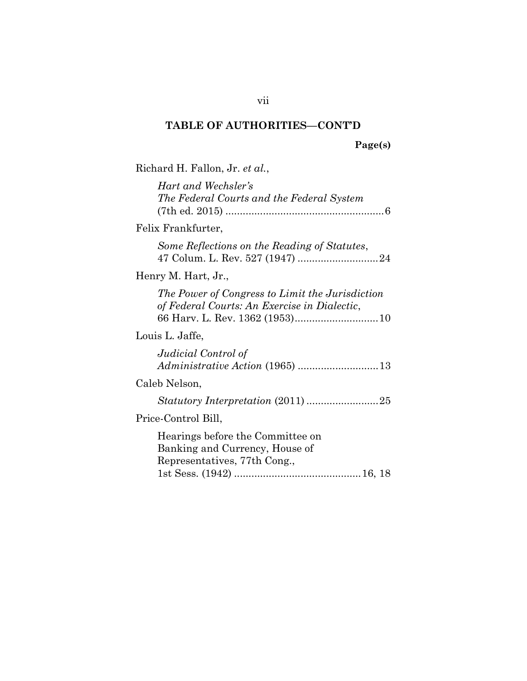Richard H. Fallon, Jr. et al., Hart and Wechsler's The Federal Courts and the Federal System (7th ed. 2015) ....................................................... 6 Felix Frankfurter, Some Reflections on the Reading of Statutes, 47 Colum. L. Rev. 527 (1947) ............................ 24 Henry M. Hart, Jr., The Power of Congress to Limit the Jurisdiction of Federal Courts: An Exercise in Dialectic, 66 Harv. L. Rev. 1362 (1953) ............................. 10 Louis L. Jaffe, Judicial Control of Administrative Action (1965) ............................ 13 Caleb Nelson, Statutory Interpretation (2011) ......................... 25 Price-Control Bill, Hearings before the Committee on Banking and Currency, House of Representatives, 77th Cong., 1st Sess. (1942) ............................................ 16, 18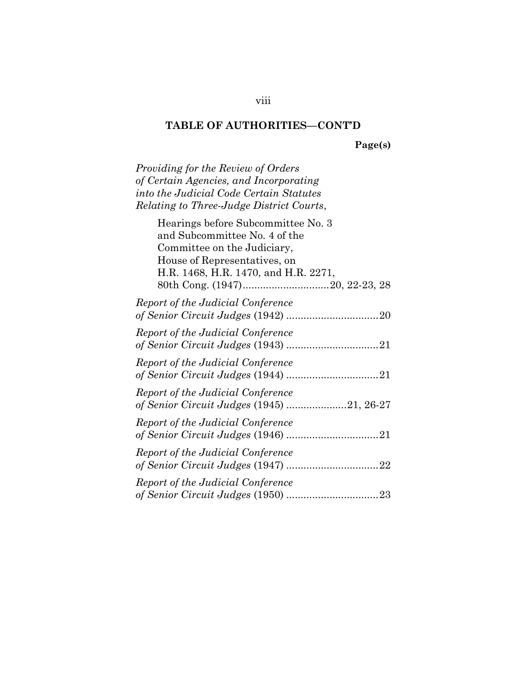Page(s)

Providing for the Review of Orders of Certain Agencies, and Incorporating into the Judicial Code Certain Statutes Relating to Three-Judge District Courts,

| Hearings before Subcommittee No. 3   |
|--------------------------------------|
| and Subcommittee No. 4 of the        |
| Committee on the Judiciary,          |
| House of Representatives, on         |
| H.R. 1468, H.R. 1470, and H.R. 2271, |
|                                      |
| Report of the Judicial Conference    |
|                                      |
| Report of the Judicial Conference    |
|                                      |
| Report of the Judicial Conference    |
|                                      |
| Report of the Judicial Conference    |
|                                      |
| Report of the Judicial Conference    |
|                                      |
| Report of the Judicial Conference    |
|                                      |
| Report of the Judicial Conference    |
|                                      |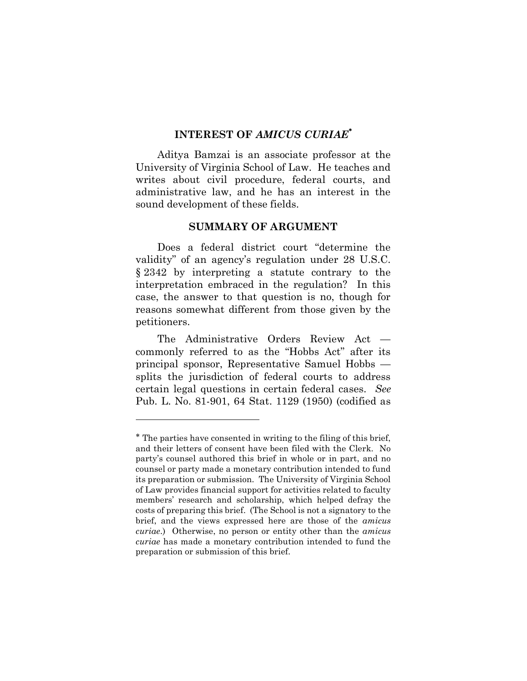## INTEREST OF AMICUS CURIAE

Aditya Bamzai is an associate professor at the University of Virginia School of Law. He teaches and writes about civil procedure, federal courts, and administrative law, and he has an interest in the sound development of these fields.

#### SUMMARY OF ARGUMENT

Does a federal district court "determine the validity" of an agency's regulation under 28 U.S.C. § 2342 by interpreting a statute contrary to the interpretation embraced in the regulation? In this case, the answer to that question is no, though for reasons somewhat different from those given by the petitioners.

The Administrative Orders Review Act commonly referred to as the "Hobbs Act" after its principal sponsor, Representative Samuel Hobbs splits the jurisdiction of federal courts to address certain legal questions in certain federal cases. See Pub. L. No. 81-901, 64 Stat. 1129 (1950) (codified as

 $\overline{a}$ 

The parties have consented in writing to the filing of this brief, and their letters of consent have been filed with the Clerk. No party's counsel authored this brief in whole or in part, and no counsel or party made a monetary contribution intended to fund its preparation or submission. The University of Virginia School of Law provides financial support for activities related to faculty members' research and scholarship, which helped defray the costs of preparing this brief. (The School is not a signatory to the brief, and the views expressed here are those of the amicus curiae.) Otherwise, no person or entity other than the amicus curiae has made a monetary contribution intended to fund the preparation or submission of this brief.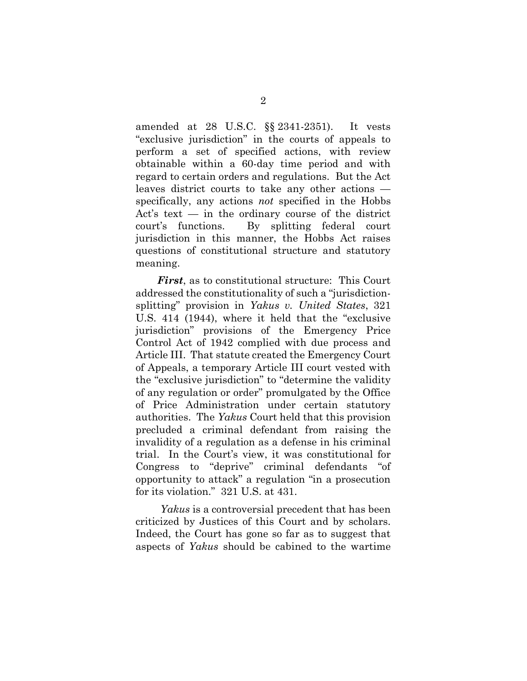amended at 28 U.S.C. §§ 2341-2351). It vests "exclusive jurisdiction" in the courts of appeals to perform a set of specified actions, with review obtainable within a 60-day time period and with regard to certain orders and regulations. But the Act leaves district courts to take any other actions specifically, any actions not specified in the Hobbs Act's text — in the ordinary course of the district court's functions. By splitting federal court jurisdiction in this manner, the Hobbs Act raises questions of constitutional structure and statutory meaning.

First, as to constitutional structure: This Court addressed the constitutionality of such a "jurisdictionsplitting" provision in Yakus v. United States, 321 U.S. 414 (1944), where it held that the "exclusive jurisdiction" provisions of the Emergency Price Control Act of 1942 complied with due process and Article III. That statute created the Emergency Court of Appeals, a temporary Article III court vested with the "exclusive jurisdiction" to "determine the validity of any regulation or order" promulgated by the Office of Price Administration under certain statutory authorities. The Yakus Court held that this provision precluded a criminal defendant from raising the invalidity of a regulation as a defense in his criminal trial. In the Court's view, it was constitutional for Congress to "deprive" criminal defendants "of opportunity to attack" a regulation "in a prosecution for its violation." 321 U.S. at 431.

Yakus is a controversial precedent that has been criticized by Justices of this Court and by scholars. Indeed, the Court has gone so far as to suggest that aspects of Yakus should be cabined to the wartime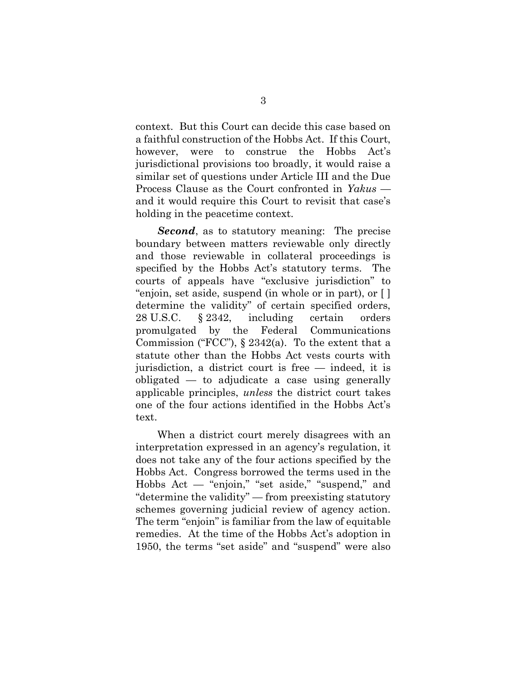context. But this Court can decide this case based on a faithful construction of the Hobbs Act. If this Court, however, were to construe the Hobbs Act's jurisdictional provisions too broadly, it would raise a similar set of questions under Article III and the Due Process Clause as the Court confronted in Yakus and it would require this Court to revisit that case's holding in the peacetime context.

Second, as to statutory meaning: The precise boundary between matters reviewable only directly and those reviewable in collateral proceedings is specified by the Hobbs Act's statutory terms. The courts of appeals have "exclusive jurisdiction" to "enjoin, set aside, suspend (in whole or in part), or [ ] determine the validity" of certain specified orders, 28 U.S.C. § 2342, including certain orders promulgated by the Federal Communications Commission ("FCC"),  $\S 2342(a)$ . To the extent that a statute other than the Hobbs Act vests courts with jurisdiction, a district court is free — indeed, it is obligated — to adjudicate a case using generally applicable principles, unless the district court takes one of the four actions identified in the Hobbs Act's text.

When a district court merely disagrees with an interpretation expressed in an agency's regulation, it does not take any of the four actions specified by the Hobbs Act. Congress borrowed the terms used in the Hobbs Act — "enjoin," "set aside," "suspend," and "determine the validity" — from preexisting statutory schemes governing judicial review of agency action. The term "enjoin" is familiar from the law of equitable remedies. At the time of the Hobbs Act's adoption in 1950, the terms "set aside" and "suspend" were also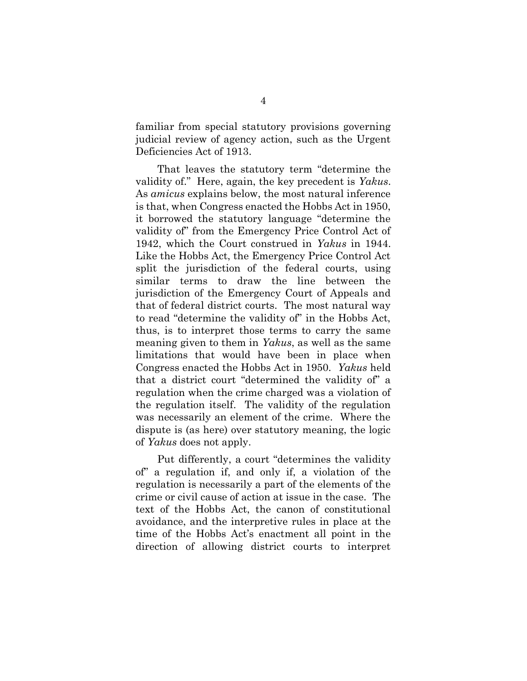familiar from special statutory provisions governing judicial review of agency action, such as the Urgent Deficiencies Act of 1913.

That leaves the statutory term "determine the validity of." Here, again, the key precedent is Yakus. As amicus explains below, the most natural inference is that, when Congress enacted the Hobbs Act in 1950, it borrowed the statutory language "determine the validity of" from the Emergency Price Control Act of 1942, which the Court construed in Yakus in 1944. Like the Hobbs Act, the Emergency Price Control Act split the jurisdiction of the federal courts, using similar terms to draw the line between the jurisdiction of the Emergency Court of Appeals and that of federal district courts. The most natural way to read "determine the validity of" in the Hobbs Act, thus, is to interpret those terms to carry the same meaning given to them in Yakus, as well as the same limitations that would have been in place when Congress enacted the Hobbs Act in 1950. Yakus held that a district court "determined the validity of" a regulation when the crime charged was a violation of the regulation itself. The validity of the regulation was necessarily an element of the crime. Where the dispute is (as here) over statutory meaning, the logic of Yakus does not apply.

Put differently, a court "determines the validity of" a regulation if, and only if, a violation of the regulation is necessarily a part of the elements of the crime or civil cause of action at issue in the case. The text of the Hobbs Act, the canon of constitutional avoidance, and the interpretive rules in place at the time of the Hobbs Act's enactment all point in the direction of allowing district courts to interpret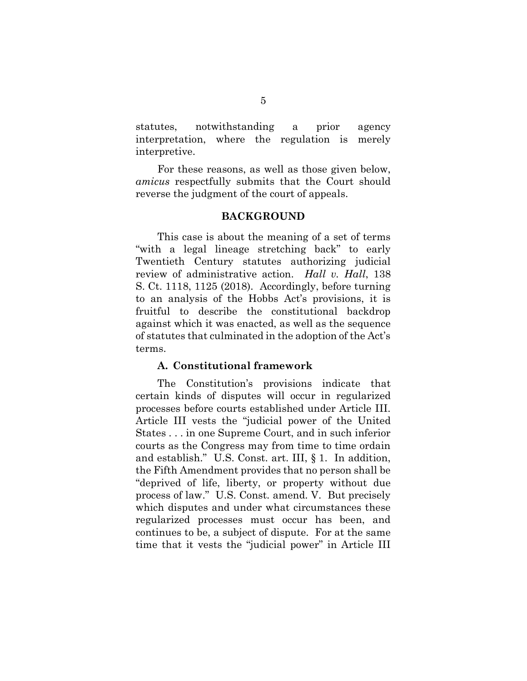statutes, notwithstanding a prior agency interpretation, where the regulation is merely interpretive.

For these reasons, as well as those given below, amicus respectfully submits that the Court should reverse the judgment of the court of appeals.

#### BACKGROUND

 This case is about the meaning of a set of terms "with a legal lineage stretching back" to early Twentieth Century statutes authorizing judicial review of administrative action. Hall v. Hall, 138 S. Ct. 1118, 1125 (2018). Accordingly, before turning to an analysis of the Hobbs Act's provisions, it is fruitful to describe the constitutional backdrop against which it was enacted, as well as the sequence of statutes that culminated in the adoption of the Act's terms.

#### A. Constitutional framework

 The Constitution's provisions indicate that certain kinds of disputes will occur in regularized processes before courts established under Article III. Article III vests the "judicial power of the United States . . . in one Supreme Court, and in such inferior courts as the Congress may from time to time ordain and establish." U.S. Const. art. III, § 1. In addition, the Fifth Amendment provides that no person shall be "deprived of life, liberty, or property without due process of law." U.S. Const. amend. V. But precisely which disputes and under what circumstances these regularized processes must occur has been, and continues to be, a subject of dispute. For at the same time that it vests the "judicial power" in Article III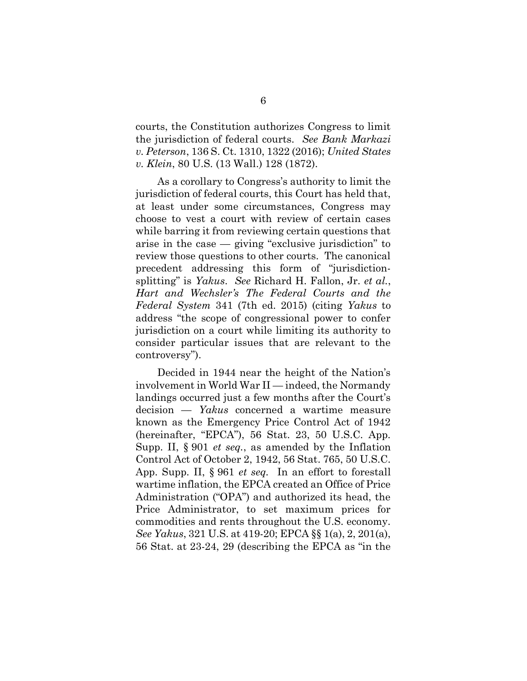courts, the Constitution authorizes Congress to limit the jurisdiction of federal courts. See Bank Markazi v. Peterson, 136 S. Ct. 1310, 1322 (2016); United States v. Klein, 80 U.S. (13 Wall.) 128 (1872).

As a corollary to Congress's authority to limit the jurisdiction of federal courts, this Court has held that, at least under some circumstances, Congress may choose to vest a court with review of certain cases while barring it from reviewing certain questions that arise in the case — giving "exclusive jurisdiction" to review those questions to other courts. The canonical precedent addressing this form of "jurisdictionsplitting" is Yakus. See Richard H. Fallon, Jr. et al., Hart and Wechsler's The Federal Courts and the Federal System 341 (7th ed. 2015) (citing Yakus to address "the scope of congressional power to confer jurisdiction on a court while limiting its authority to consider particular issues that are relevant to the controversy").

Decided in 1944 near the height of the Nation's involvement in World War II — indeed, the Normandy landings occurred just a few months after the Court's decision — Yakus concerned a wartime measure known as the Emergency Price Control Act of 1942 (hereinafter, "EPCA"), 56 Stat. 23, 50 U.S.C. App. Supp. II, § 901 et seq., as amended by the Inflation Control Act of October 2, 1942, 56 Stat. 765, 50 U.S.C. App. Supp. II, § 961 et seq. In an effort to forestall wartime inflation, the EPCA created an Office of Price Administration ("OPA") and authorized its head, the Price Administrator, to set maximum prices for commodities and rents throughout the U.S. economy. See Yakus, 321 U.S. at 419-20; EPCA §§ 1(a), 2, 201(a), 56 Stat. at 23-24, 29 (describing the EPCA as "in the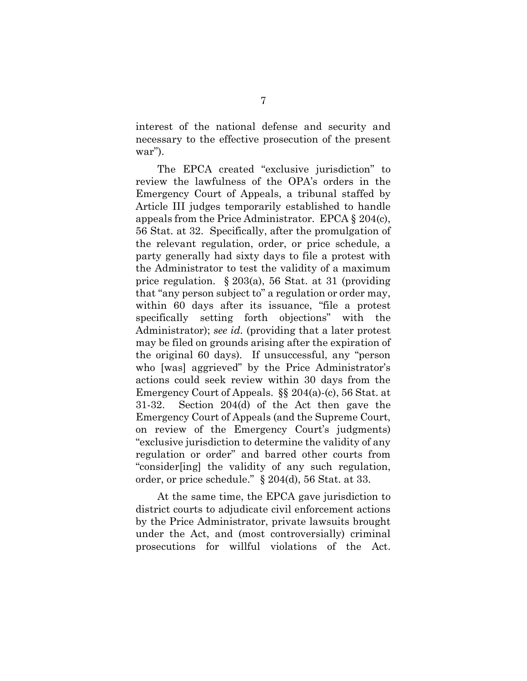interest of the national defense and security and necessary to the effective prosecution of the present war").

The EPCA created "exclusive jurisdiction" to review the lawfulness of the OPA's orders in the Emergency Court of Appeals, a tribunal staffed by Article III judges temporarily established to handle appeals from the Price Administrator. EPCA § 204(c), 56 Stat. at 32. Specifically, after the promulgation of the relevant regulation, order, or price schedule, a party generally had sixty days to file a protest with the Administrator to test the validity of a maximum price regulation. § 203(a), 56 Stat. at 31 (providing that "any person subject to" a regulation or order may, within 60 days after its issuance, "file a protest specifically setting forth objections" with the Administrator); see id. (providing that a later protest may be filed on grounds arising after the expiration of the original 60 days). If unsuccessful, any "person who [was] aggrieved" by the Price Administrator's actions could seek review within 30 days from the Emergency Court of Appeals. §§ 204(a)-(c), 56 Stat. at 31-32. Section 204(d) of the Act then gave the Emergency Court of Appeals (and the Supreme Court, on review of the Emergency Court's judgments) "exclusive jurisdiction to determine the validity of any regulation or order" and barred other courts from "consider[ing] the validity of any such regulation, order, or price schedule." § 204(d), 56 Stat. at 33.

At the same time, the EPCA gave jurisdiction to district courts to adjudicate civil enforcement actions by the Price Administrator, private lawsuits brought under the Act, and (most controversially) criminal prosecutions for willful violations of the Act.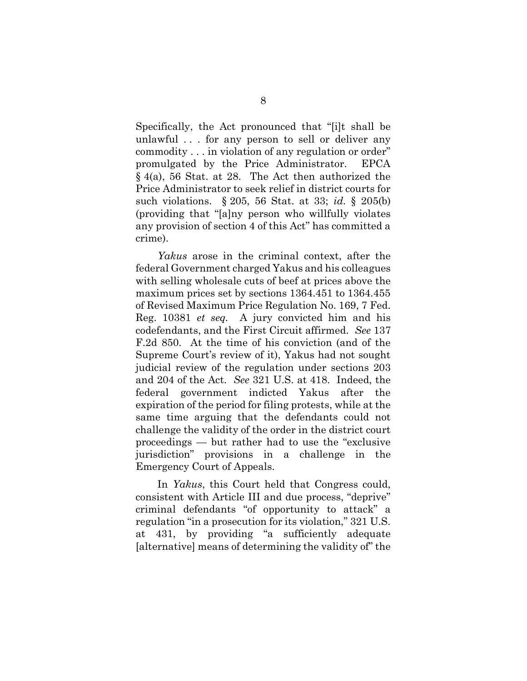Specifically, the Act pronounced that "[i]t shall be unlawful . . . for any person to sell or deliver any commodity . . . in violation of any regulation or order" promulgated by the Price Administrator. EPCA § 4(a), 56 Stat. at 28. The Act then authorized the Price Administrator to seek relief in district courts for such violations. § 205, 56 Stat. at 33; id. § 205(b) (providing that "[a]ny person who willfully violates any provision of section 4 of this Act" has committed a crime).

Yakus arose in the criminal context, after the federal Government charged Yakus and his colleagues with selling wholesale cuts of beef at prices above the maximum prices set by sections 1364.451 to 1364.455 of Revised Maximum Price Regulation No. 169, 7 Fed. Reg. 10381 et seq. A jury convicted him and his codefendants, and the First Circuit affirmed. See 137 F.2d 850. At the time of his conviction (and of the Supreme Court's review of it), Yakus had not sought judicial review of the regulation under sections 203 and 204 of the Act. See 321 U.S. at 418. Indeed, the federal government indicted Yakus after the expiration of the period for filing protests, while at the same time arguing that the defendants could not challenge the validity of the order in the district court proceedings — but rather had to use the "exclusive jurisdiction" provisions in a challenge in the Emergency Court of Appeals.

In Yakus, this Court held that Congress could, consistent with Article III and due process, "deprive" criminal defendants "of opportunity to attack" a regulation "in a prosecution for its violation," 321 U.S. at 431, by providing "a sufficiently adequate [alternative] means of determining the validity of" the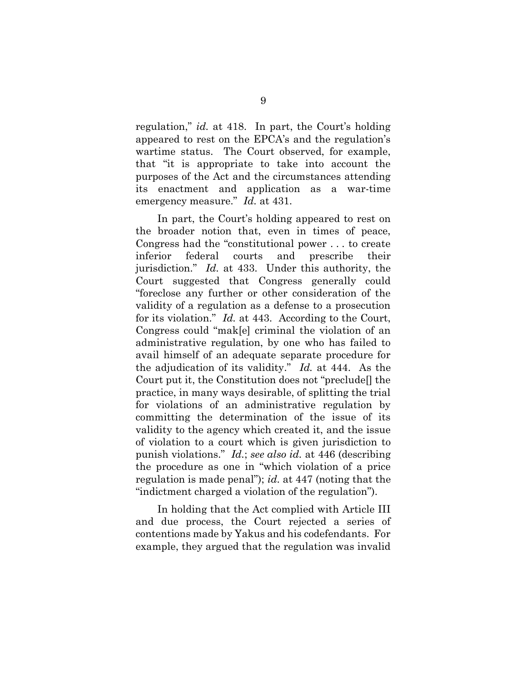regulation," id. at 418. In part, the Court's holding appeared to rest on the EPCA's and the regulation's wartime status. The Court observed, for example, that "it is appropriate to take into account the purposes of the Act and the circumstances attending its enactment and application as a war-time emergency measure." *Id.* at 431.

In part, the Court's holding appeared to rest on the broader notion that, even in times of peace, Congress had the "constitutional power . . . to create inferior federal courts and prescribe their jurisdiction." Id. at 433. Under this authority, the Court suggested that Congress generally could "foreclose any further or other consideration of the validity of a regulation as a defense to a prosecution for its violation." Id. at 443. According to the Court, Congress could "mak[e] criminal the violation of an administrative regulation, by one who has failed to avail himself of an adequate separate procedure for the adjudication of its validity." Id. at 444. As the Court put it, the Constitution does not "preclude[] the practice, in many ways desirable, of splitting the trial for violations of an administrative regulation by committing the determination of the issue of its validity to the agency which created it, and the issue of violation to a court which is given jurisdiction to punish violations." Id.; see also id. at 446 (describing the procedure as one in "which violation of a price regulation is made penal"); id. at 447 (noting that the "indictment charged a violation of the regulation").

In holding that the Act complied with Article III and due process, the Court rejected a series of contentions made by Yakus and his codefendants. For example, they argued that the regulation was invalid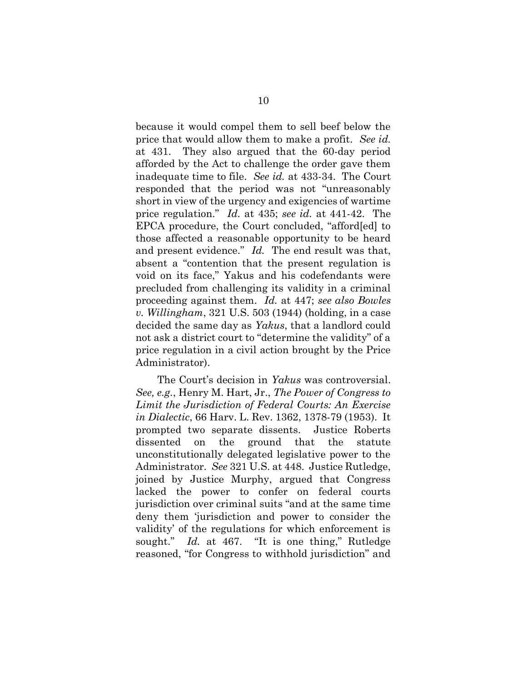because it would compel them to sell beef below the price that would allow them to make a profit. See id. at 431. They also argued that the 60-day period afforded by the Act to challenge the order gave them inadequate time to file. See id. at 433-34. The Court responded that the period was not "unreasonably short in view of the urgency and exigencies of wartime price regulation." Id. at 435; see id. at 441-42. The EPCA procedure, the Court concluded, "afford[ed] to those affected a reasonable opportunity to be heard and present evidence." Id. The end result was that, absent a "contention that the present regulation is void on its face," Yakus and his codefendants were precluded from challenging its validity in a criminal proceeding against them. Id. at 447; see also Bowles v. Willingham, 321 U.S. 503 (1944) (holding, in a case decided the same day as Yakus, that a landlord could not ask a district court to "determine the validity" of a price regulation in a civil action brought by the Price Administrator).

The Court's decision in Yakus was controversial. See, e.g., Henry M. Hart, Jr., The Power of Congress to Limit the Jurisdiction of Federal Courts: An Exercise in Dialectic, 66 Harv. L. Rev. 1362, 1378-79 (1953). It prompted two separate dissents. Justice Roberts dissented on the ground that the statute unconstitutionally delegated legislative power to the Administrator. See 321 U.S. at 448. Justice Rutledge, joined by Justice Murphy, argued that Congress lacked the power to confer on federal courts jurisdiction over criminal suits "and at the same time deny them 'jurisdiction and power to consider the validity' of the regulations for which enforcement is sought." Id. at 467. "It is one thing," Rutledge reasoned, "for Congress to withhold jurisdiction" and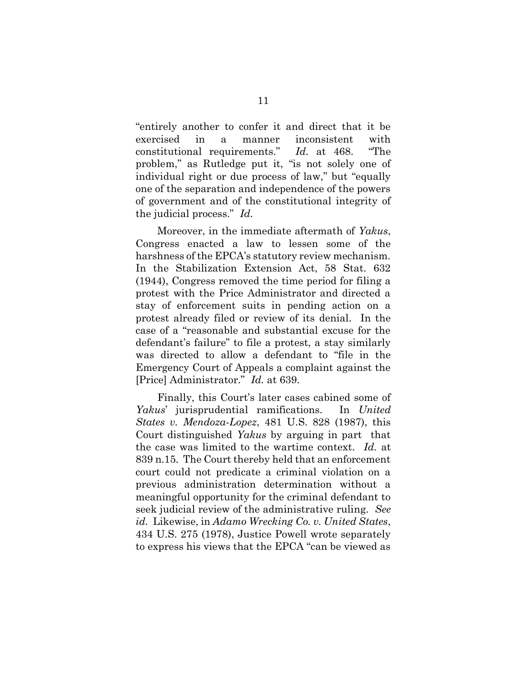"entirely another to confer it and direct that it be exercised in a manner inconsistent with constitutional requirements." Id. at 468. "The problem," as Rutledge put it, "is not solely one of individual right or due process of law," but "equally one of the separation and independence of the powers of government and of the constitutional integrity of the judicial process." Id.

Moreover, in the immediate aftermath of Yakus, Congress enacted a law to lessen some of the harshness of the EPCA's statutory review mechanism. In the Stabilization Extension Act, 58 Stat. 632 (1944), Congress removed the time period for filing a protest with the Price Administrator and directed a stay of enforcement suits in pending action on a protest already filed or review of its denial. In the case of a "reasonable and substantial excuse for the defendant's failure" to file a protest, a stay similarly was directed to allow a defendant to "file in the Emergency Court of Appeals a complaint against the [Price] Administrator." Id. at 639.

Finally, this Court's later cases cabined some of Yakus' jurisprudential ramifications. In United States v. Mendoza-Lopez, 481 U.S. 828 (1987), this Court distinguished Yakus by arguing in part that the case was limited to the wartime context. Id. at 839 n.15. The Court thereby held that an enforcement court could not predicate a criminal violation on a previous administration determination without a meaningful opportunity for the criminal defendant to seek judicial review of the administrative ruling. See id. Likewise, in Adamo Wrecking Co. v. United States, 434 U.S. 275 (1978), Justice Powell wrote separately to express his views that the EPCA "can be viewed as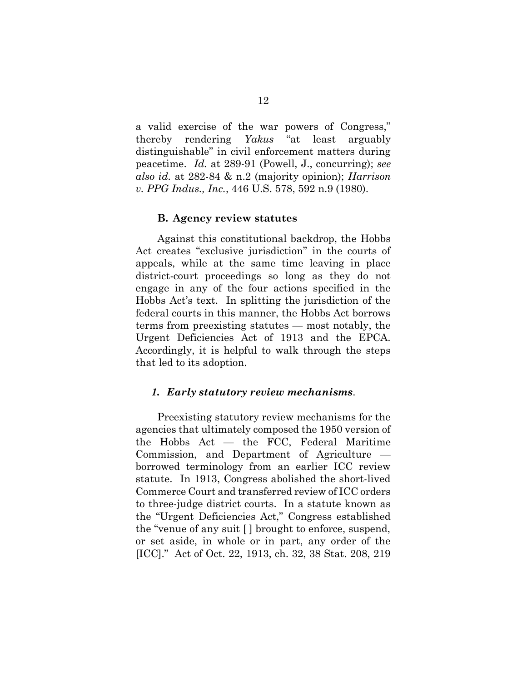a valid exercise of the war powers of Congress," thereby rendering Yakus "at least arguably distinguishable" in civil enforcement matters during peacetime. Id. at 289-91 (Powell, J., concurring); see also id. at 282-84 & n.2 (majority opinion); Harrison v. PPG Indus., Inc., 446 U.S. 578, 592 n.9 (1980).

#### B. Agency review statutes

 Against this constitutional backdrop, the Hobbs Act creates "exclusive jurisdiction" in the courts of appeals, while at the same time leaving in place district-court proceedings so long as they do not engage in any of the four actions specified in the Hobbs Act's text. In splitting the jurisdiction of the federal courts in this manner, the Hobbs Act borrows terms from preexisting statutes — most notably, the Urgent Deficiencies Act of 1913 and the EPCA. Accordingly, it is helpful to walk through the steps that led to its adoption.

#### 1. Early statutory review mechanisms.

 Preexisting statutory review mechanisms for the agencies that ultimately composed the 1950 version of the Hobbs Act — the FCC, Federal Maritime Commission, and Department of Agriculture borrowed terminology from an earlier ICC review statute. In 1913, Congress abolished the short-lived Commerce Court and transferred review of ICC orders to three-judge district courts. In a statute known as the "Urgent Deficiencies Act," Congress established the "venue of any suit [ ] brought to enforce, suspend, or set aside, in whole or in part, any order of the [ICC]." Act of Oct. 22, 1913, ch. 32, 38 Stat. 208, 219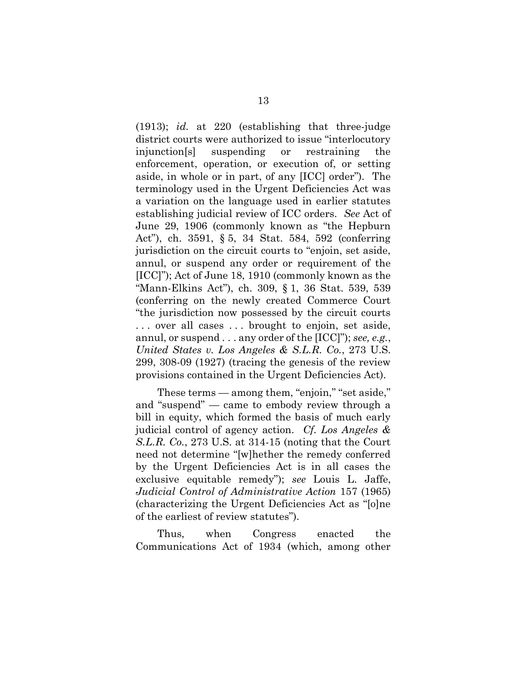(1913); id. at 220 (establishing that three-judge district courts were authorized to issue "interlocutory injunction[s] suspending or restraining the enforcement, operation, or execution of, or setting aside, in whole or in part, of any [ICC] order"). The terminology used in the Urgent Deficiencies Act was a variation on the language used in earlier statutes establishing judicial review of ICC orders. See Act of June 29, 1906 (commonly known as "the Hepburn Act"), ch. 3591, § 5, 34 Stat. 584, 592 (conferring jurisdiction on the circuit courts to "enjoin, set aside, annul, or suspend any order or requirement of the [ICC]"); Act of June 18, 1910 (commonly known as the "Mann-Elkins Act"), ch. 309, § 1, 36 Stat. 539, 539 (conferring on the newly created Commerce Court "the jurisdiction now possessed by the circuit courts . . . over all cases . . . brought to enjoin, set aside, annul, or suspend  $\dots$  any order of the [ICC]"); see, e.g., United States v. Los Angeles & S.L.R. Co., 273 U.S. 299, 308-09 (1927) (tracing the genesis of the review provisions contained in the Urgent Deficiencies Act).

 These terms — among them, "enjoin," "set aside," and "suspend" — came to embody review through a bill in equity, which formed the basis of much early judicial control of agency action. Cf. Los Angeles & S.L.R. Co., 273 U.S. at 314-15 (noting that the Court need not determine "[w]hether the remedy conferred by the Urgent Deficiencies Act is in all cases the exclusive equitable remedy"); see Louis L. Jaffe, Judicial Control of Administrative Action 157 (1965) (characterizing the Urgent Deficiencies Act as "[o]ne of the earliest of review statutes").

 Thus, when Congress enacted the Communications Act of 1934 (which, among other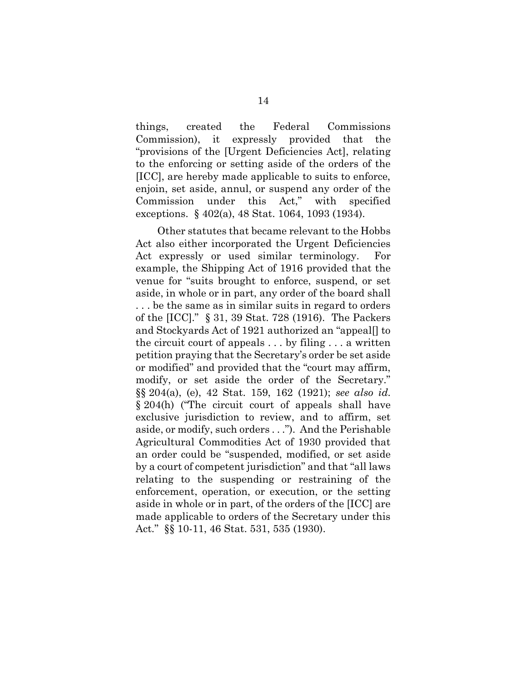things, created the Federal Commissions Commission), it expressly provided that the "provisions of the [Urgent Deficiencies Act], relating to the enforcing or setting aside of the orders of the [ICC], are hereby made applicable to suits to enforce, enjoin, set aside, annul, or suspend any order of the Commission under this Act," with specified exceptions. § 402(a), 48 Stat. 1064, 1093 (1934).

 Other statutes that became relevant to the Hobbs Act also either incorporated the Urgent Deficiencies Act expressly or used similar terminology. For example, the Shipping Act of 1916 provided that the venue for "suits brought to enforce, suspend, or set aside, in whole or in part, any order of the board shall . . . be the same as in similar suits in regard to orders of the [ICC]." § 31, 39 Stat. 728 (1916). The Packers and Stockyards Act of 1921 authorized an "appeal[] to the circuit court of appeals . . . by filing . . . a written petition praying that the Secretary's order be set aside or modified" and provided that the "court may affirm, modify, or set aside the order of the Secretary." §§ 204(a), (e), 42 Stat. 159, 162 (1921); see also id. § 204(h) ("The circuit court of appeals shall have exclusive jurisdiction to review, and to affirm, set aside, or modify, such orders . . ."). And the Perishable Agricultural Commodities Act of 1930 provided that an order could be "suspended, modified, or set aside by a court of competent jurisdiction" and that "all laws relating to the suspending or restraining of the enforcement, operation, or execution, or the setting aside in whole or in part, of the orders of the [ICC] are made applicable to orders of the Secretary under this Act." §§ 10-11, 46 Stat. 531, 535 (1930).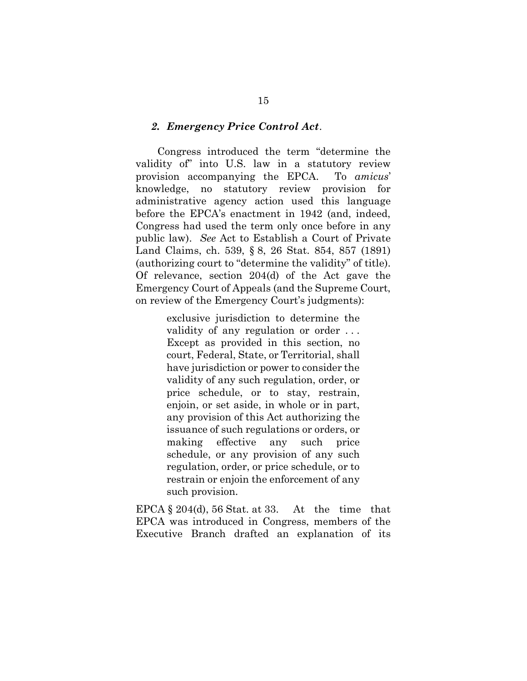#### 2. Emergency Price Control Act.

 Congress introduced the term "determine the validity of" into U.S. law in a statutory review provision accompanying the EPCA. To amicus' knowledge, no statutory review provision for administrative agency action used this language before the EPCA's enactment in 1942 (and, indeed, Congress had used the term only once before in any public law). See Act to Establish a Court of Private Land Claims, ch. 539, § 8, 26 Stat. 854, 857 (1891) (authorizing court to "determine the validity" of title). Of relevance, section 204(d) of the Act gave the Emergency Court of Appeals (and the Supreme Court, on review of the Emergency Court's judgments):

> exclusive jurisdiction to determine the validity of any regulation or order . . . Except as provided in this section, no court, Federal, State, or Territorial, shall have jurisdiction or power to consider the validity of any such regulation, order, or price schedule, or to stay, restrain, enjoin, or set aside, in whole or in part, any provision of this Act authorizing the issuance of such regulations or orders, or making effective any such price schedule, or any provision of any such regulation, order, or price schedule, or to restrain or enjoin the enforcement of any such provision.

EPCA  $\S 204(d)$ , 56 Stat. at 33. At the time that EPCA was introduced in Congress, members of the Executive Branch drafted an explanation of its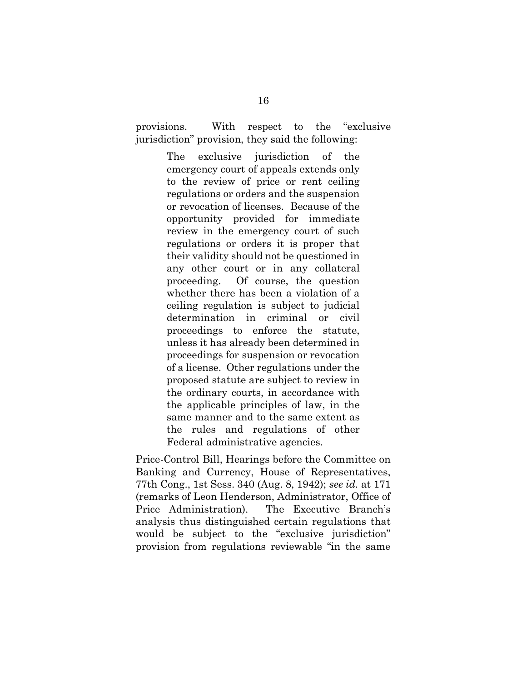provisions. With respect to the "exclusive jurisdiction" provision, they said the following:

> The exclusive jurisdiction of the emergency court of appeals extends only to the review of price or rent ceiling regulations or orders and the suspension or revocation of licenses. Because of the opportunity provided for immediate review in the emergency court of such regulations or orders it is proper that their validity should not be questioned in any other court or in any collateral proceeding. Of course, the question whether there has been a violation of a ceiling regulation is subject to judicial determination in criminal or civil proceedings to enforce the statute, unless it has already been determined in proceedings for suspension or revocation of a license. Other regulations under the proposed statute are subject to review in the ordinary courts, in accordance with the applicable principles of law, in the same manner and to the same extent as the rules and regulations of other Federal administrative agencies.

Price-Control Bill, Hearings before the Committee on Banking and Currency, House of Representatives, 77th Cong., 1st Sess. 340 (Aug. 8, 1942); see id. at 171 (remarks of Leon Henderson, Administrator, Office of Price Administration). The Executive Branch's analysis thus distinguished certain regulations that would be subject to the "exclusive jurisdiction" provision from regulations reviewable "in the same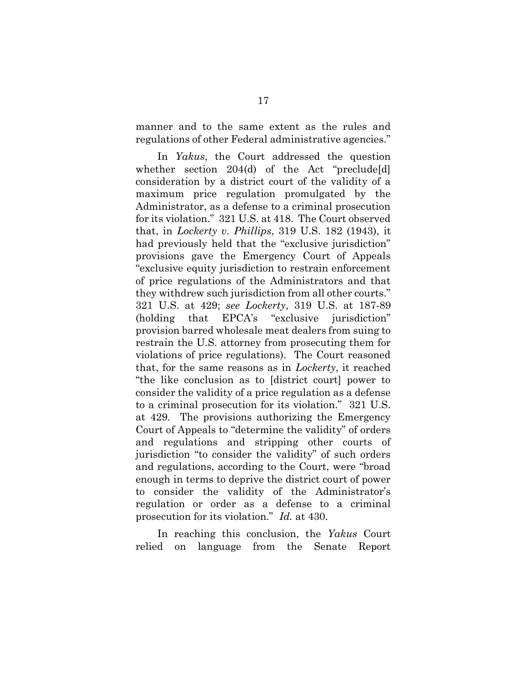manner and to the same extent as the rules and regulations of other Federal administrative agencies."

In Yakus, the Court addressed the question whether section 204(d) of the Act "preclude[d] consideration by a district court of the validity of a maximum price regulation promulgated by the Administrator, as a defense to a criminal prosecution for its violation." 321 U.S. at 418. The Court observed that, in Lockerty v. Phillips, 319 U.S. 182 (1943), it had previously held that the "exclusive jurisdiction" provisions gave the Emergency Court of Appeals "exclusive equity jurisdiction to restrain enforcement of price regulations of the Administrators and that they withdrew such jurisdiction from all other courts." 321 U.S. at 429; see Lockerty, 319 U.S. at 187-89 (holding that EPCA's "exclusive jurisdiction" provision barred wholesale meat dealers from suing to restrain the U.S. attorney from prosecuting them for violations of price regulations). The Court reasoned that, for the same reasons as in Lockerty, it reached "the like conclusion as to [district court] power to consider the validity of a price regulation as a defense to a criminal prosecution for its violation." 321 U.S. at 429. The provisions authorizing the Emergency Court of Appeals to "determine the validity" of orders and regulations and stripping other courts of jurisdiction "to consider the validity" of such orders and regulations, according to the Court, were "broad enough in terms to deprive the district court of power to consider the validity of the Administrator's regulation or order as a defense to a criminal prosecution for its violation." Id. at 430.

In reaching this conclusion, the Yakus Court relied on language from the Senate Report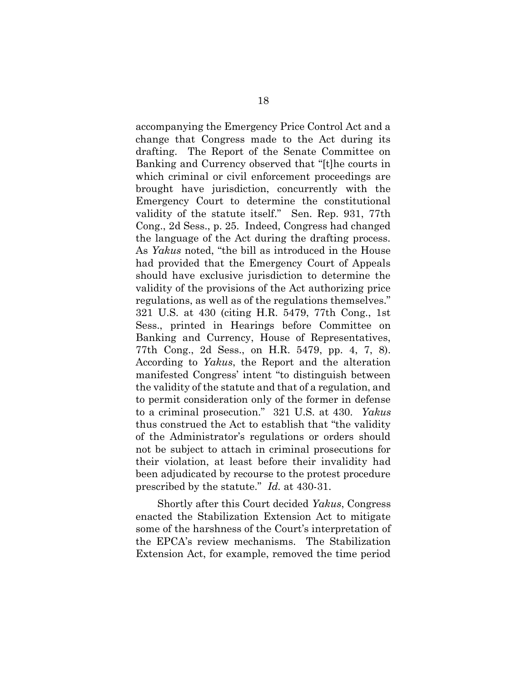accompanying the Emergency Price Control Act and a change that Congress made to the Act during its drafting. The Report of the Senate Committee on Banking and Currency observed that "[t]he courts in which criminal or civil enforcement proceedings are brought have jurisdiction, concurrently with the Emergency Court to determine the constitutional validity of the statute itself." Sen. Rep. 931, 77th Cong., 2d Sess., p. 25. Indeed, Congress had changed the language of the Act during the drafting process. As Yakus noted, "the bill as introduced in the House had provided that the Emergency Court of Appeals should have exclusive jurisdiction to determine the validity of the provisions of the Act authorizing price regulations, as well as of the regulations themselves." 321 U.S. at 430 (citing H.R. 5479, 77th Cong., 1st Sess., printed in Hearings before Committee on Banking and Currency, House of Representatives, 77th Cong., 2d Sess., on H.R. 5479, pp. 4, 7, 8). According to Yakus, the Report and the alteration manifested Congress' intent "to distinguish between the validity of the statute and that of a regulation, and to permit consideration only of the former in defense to a criminal prosecution." 321 U.S. at 430. Yakus thus construed the Act to establish that "the validity of the Administrator's regulations or orders should not be subject to attach in criminal prosecutions for their violation, at least before their invalidity had been adjudicated by recourse to the protest procedure prescribed by the statute." Id. at 430-31.

 Shortly after this Court decided Yakus, Congress enacted the Stabilization Extension Act to mitigate some of the harshness of the Court's interpretation of the EPCA's review mechanisms. The Stabilization Extension Act, for example, removed the time period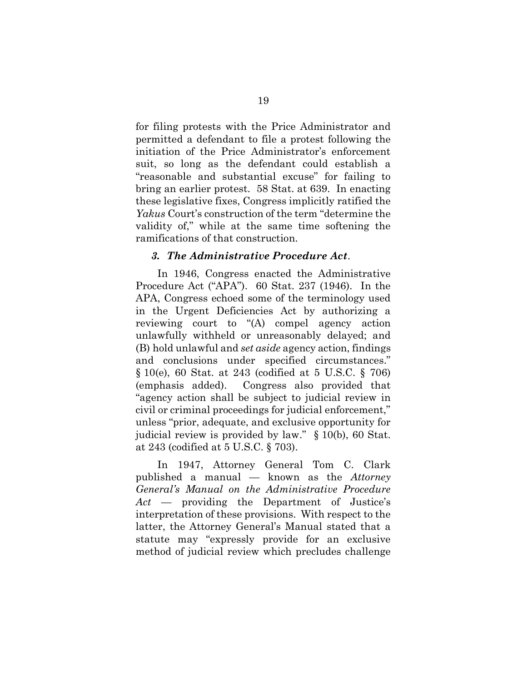for filing protests with the Price Administrator and permitted a defendant to file a protest following the initiation of the Price Administrator's enforcement suit, so long as the defendant could establish a "reasonable and substantial excuse" for failing to bring an earlier protest. 58 Stat. at 639. In enacting these legislative fixes, Congress implicitly ratified the Yakus Court's construction of the term "determine the validity of," while at the same time softening the ramifications of that construction.

#### 3. The Administrative Procedure Act.

 In 1946, Congress enacted the Administrative Procedure Act ("APA"). 60 Stat. 237 (1946). In the APA, Congress echoed some of the terminology used in the Urgent Deficiencies Act by authorizing a reviewing court to "(A) compel agency action unlawfully withheld or unreasonably delayed; and (B) hold unlawful and set aside agency action, findings and conclusions under specified circumstances." § 10(e), 60 Stat. at 243 (codified at 5 U.S.C. § 706) (emphasis added). Congress also provided that "agency action shall be subject to judicial review in civil or criminal proceedings for judicial enforcement," unless "prior, adequate, and exclusive opportunity for judicial review is provided by law." § 10(b), 60 Stat. at 243 (codified at 5 U.S.C. § 703).

 In 1947, Attorney General Tom C. Clark published a manual — known as the Attorney General's Manual on the Administrative Procedure Act — providing the Department of Justice's interpretation of these provisions. With respect to the latter, the Attorney General's Manual stated that a statute may "expressly provide for an exclusive method of judicial review which precludes challenge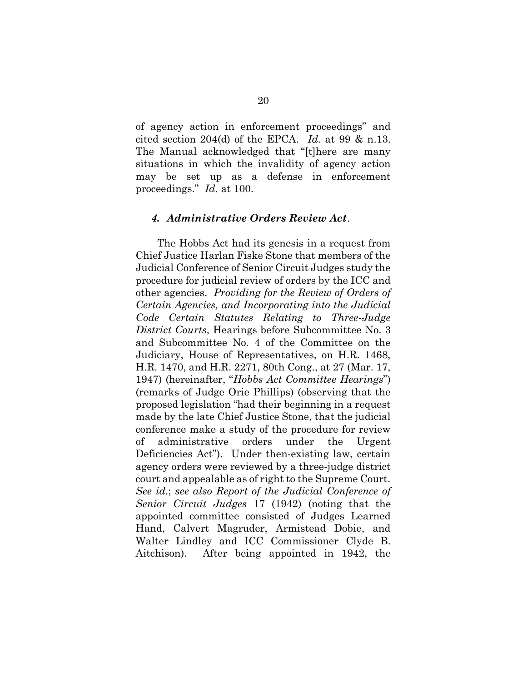of agency action in enforcement proceedings" and cited section 204(d) of the EPCA. Id. at 99 & n.13. The Manual acknowledged that "[t]here are many situations in which the invalidity of agency action may be set up as a defense in enforcement proceedings." Id. at 100.

#### 4. Administrative Orders Review Act.

 The Hobbs Act had its genesis in a request from Chief Justice Harlan Fiske Stone that members of the Judicial Conference of Senior Circuit Judges study the procedure for judicial review of orders by the ICC and other agencies. Providing for the Review of Orders of Certain Agencies, and Incorporating into the Judicial Code Certain Statutes Relating to Three-Judge District Courts, Hearings before Subcommittee No. 3 and Subcommittee No. 4 of the Committee on the Judiciary, House of Representatives, on H.R. 1468, H.R. 1470, and H.R. 2271, 80th Cong., at 27 (Mar. 17, 1947) (hereinafter, "Hobbs Act Committee Hearings") (remarks of Judge Orie Phillips) (observing that the proposed legislation "had their beginning in a request made by the late Chief Justice Stone, that the judicial conference make a study of the procedure for review of administrative orders under the Urgent Deficiencies Act"). Under then-existing law, certain agency orders were reviewed by a three-judge district court and appealable as of right to the Supreme Court. See id.; see also Report of the Judicial Conference of Senior Circuit Judges 17 (1942) (noting that the appointed committee consisted of Judges Learned Hand, Calvert Magruder, Armistead Dobie, and Walter Lindley and ICC Commissioner Clyde B. Aitchison). After being appointed in 1942, the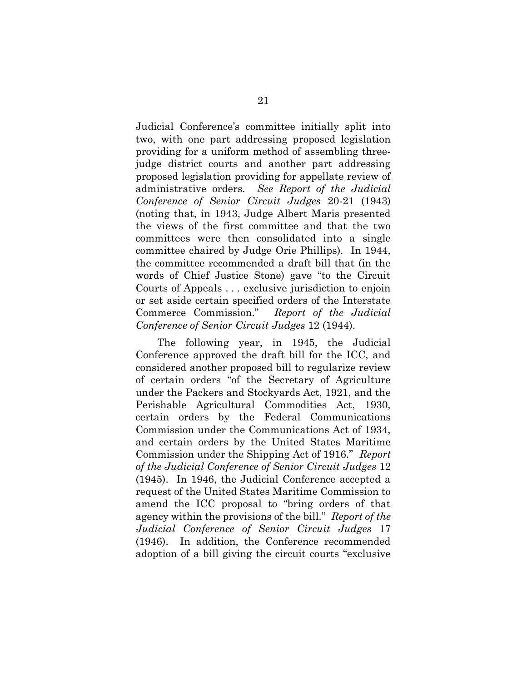Judicial Conference's committee initially split into two, with one part addressing proposed legislation providing for a uniform method of assembling threejudge district courts and another part addressing proposed legislation providing for appellate review of administrative orders. See Report of the Judicial Conference of Senior Circuit Judges 20-21 (1943) (noting that, in 1943, Judge Albert Maris presented the views of the first committee and that the two committees were then consolidated into a single committee chaired by Judge Orie Phillips). In 1944, the committee recommended a draft bill that (in the words of Chief Justice Stone) gave "to the Circuit Courts of Appeals . . . exclusive jurisdiction to enjoin or set aside certain specified orders of the Interstate Commerce Commission." Report of the Judicial Conference of Senior Circuit Judges 12 (1944).

 The following year, in 1945, the Judicial Conference approved the draft bill for the ICC, and considered another proposed bill to regularize review of certain orders "of the Secretary of Agriculture under the Packers and Stockyards Act, 1921, and the Perishable Agricultural Commodities Act, 1930, certain orders by the Federal Communications Commission under the Communications Act of 1934, and certain orders by the United States Maritime Commission under the Shipping Act of 1916." Report of the Judicial Conference of Senior Circuit Judges 12 (1945). In 1946, the Judicial Conference accepted a request of the United States Maritime Commission to amend the ICC proposal to "bring orders of that agency within the provisions of the bill." Report of the Judicial Conference of Senior Circuit Judges 17 (1946). In addition, the Conference recommended adoption of a bill giving the circuit courts "exclusive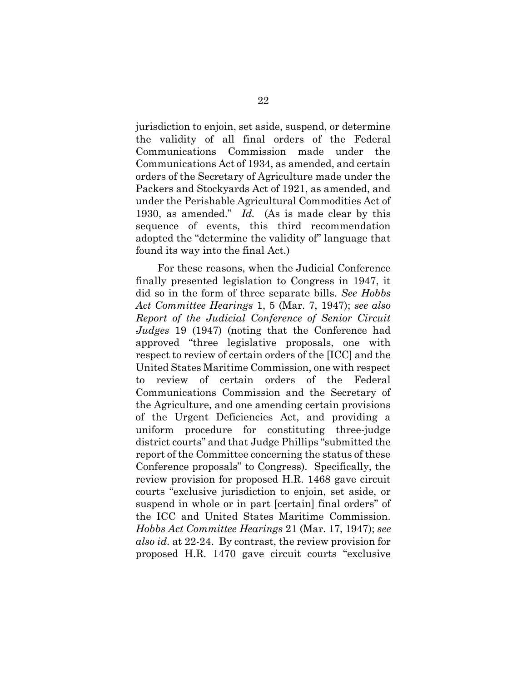jurisdiction to enjoin, set aside, suspend, or determine the validity of all final orders of the Federal Communications Commission made under the Communications Act of 1934, as amended, and certain orders of the Secretary of Agriculture made under the Packers and Stockyards Act of 1921, as amended, and under the Perishable Agricultural Commodities Act of 1930, as amended." Id. (As is made clear by this sequence of events, this third recommendation adopted the "determine the validity of" language that found its way into the final Act.)

 For these reasons, when the Judicial Conference finally presented legislation to Congress in 1947, it did so in the form of three separate bills. See Hobbs Act Committee Hearings 1, 5 (Mar. 7, 1947); see also Report of the Judicial Conference of Senior Circuit Judges 19 (1947) (noting that the Conference had approved "three legislative proposals, one with respect to review of certain orders of the [ICC] and the United States Maritime Commission, one with respect to review of certain orders of the Federal Communications Commission and the Secretary of the Agriculture, and one amending certain provisions of the Urgent Deficiencies Act, and providing a uniform procedure for constituting three-judge district courts" and that Judge Phillips "submitted the report of the Committee concerning the status of these Conference proposals" to Congress). Specifically, the review provision for proposed H.R. 1468 gave circuit courts "exclusive jurisdiction to enjoin, set aside, or suspend in whole or in part [certain] final orders" of the ICC and United States Maritime Commission. Hobbs Act Committee Hearings 21 (Mar. 17, 1947); see also id. at 22-24. By contrast, the review provision for proposed H.R. 1470 gave circuit courts "exclusive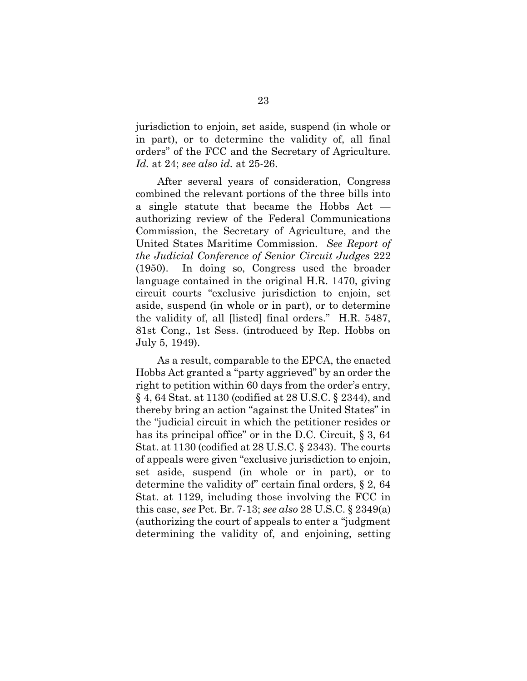jurisdiction to enjoin, set aside, suspend (in whole or in part), or to determine the validity of, all final orders" of the FCC and the Secretary of Agriculture. Id. at 24; see also id. at 25-26.

 After several years of consideration, Congress combined the relevant portions of the three bills into a single statute that became the Hobbs Act authorizing review of the Federal Communications Commission, the Secretary of Agriculture, and the United States Maritime Commission. See Report of the Judicial Conference of Senior Circuit Judges 222 (1950). In doing so, Congress used the broader language contained in the original H.R. 1470, giving circuit courts "exclusive jurisdiction to enjoin, set aside, suspend (in whole or in part), or to determine the validity of, all [listed] final orders." H.R. 5487, 81st Cong., 1st Sess. (introduced by Rep. Hobbs on July 5, 1949).

 As a result, comparable to the EPCA, the enacted Hobbs Act granted a "party aggrieved" by an order the right to petition within 60 days from the order's entry, § 4, 64 Stat. at 1130 (codified at 28 U.S.C. § 2344), and thereby bring an action "against the United States" in the "judicial circuit in which the petitioner resides or has its principal office" or in the D.C. Circuit, § 3, 64 Stat. at 1130 (codified at 28 U.S.C. § 2343). The courts of appeals were given "exclusive jurisdiction to enjoin, set aside, suspend (in whole or in part), or to determine the validity of" certain final orders, § 2, 64 Stat. at 1129, including those involving the FCC in this case, see Pet. Br. 7-13; see also 28 U.S.C. § 2349(a) (authorizing the court of appeals to enter a "judgment determining the validity of, and enjoining, setting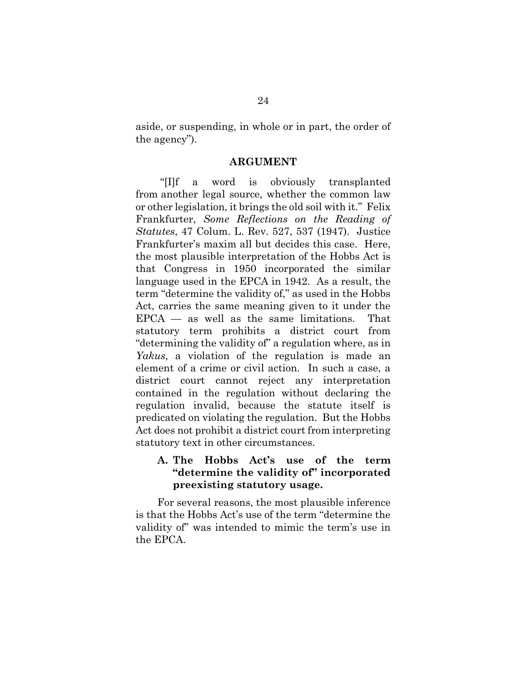aside, or suspending, in whole or in part, the order of the agency").

#### ARGUMENT

 "[I]f a word is obviously transplanted from another legal source, whether the common law or other legislation, it brings the old soil with it." Felix Frankfurter, Some Reflections on the Reading of Statutes, 47 Colum. L. Rev. 527, 537 (1947). Justice Frankfurter's maxim all but decides this case. Here, the most plausible interpretation of the Hobbs Act is that Congress in 1950 incorporated the similar language used in the EPCA in 1942. As a result, the term "determine the validity of," as used in the Hobbs Act, carries the same meaning given to it under the  $EPCA$  — as well as the same limitations. That statutory term prohibits a district court from "determining the validity of" a regulation where, as in Yakus, a violation of the regulation is made an element of a crime or civil action. In such a case, a district court cannot reject any interpretation contained in the regulation without declaring the regulation invalid, because the statute itself is predicated on violating the regulation. But the Hobbs Act does not prohibit a district court from interpreting statutory text in other circumstances.

### A. The Hobbs Act's use of the term "determine the validity of" incorporated preexisting statutory usage.

 For several reasons, the most plausible inference is that the Hobbs Act's use of the term "determine the validity of" was intended to mimic the term's use in the EPCA.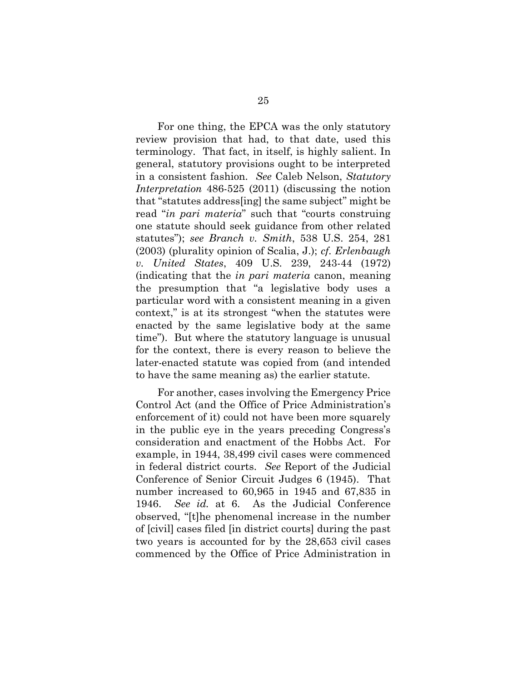For one thing, the EPCA was the only statutory review provision that had, to that date, used this terminology. That fact, in itself, is highly salient. In general, statutory provisions ought to be interpreted in a consistent fashion. See Caleb Nelson, Statutory Interpretation 486-525 (2011) (discussing the notion that "statutes address[ing] the same subject" might be read "*in pari materia*" such that "courts construing" one statute should seek guidance from other related statutes"); see Branch v. Smith, 538 U.S. 254, 281 (2003) (plurality opinion of Scalia, J.); cf. Erlenbaugh v. United States, 409 U.S. 239, 243-44 (1972) (indicating that the in pari materia canon, meaning the presumption that "a legislative body uses a particular word with a consistent meaning in a given context," is at its strongest "when the statutes were enacted by the same legislative body at the same time"). But where the statutory language is unusual for the context, there is every reason to believe the later-enacted statute was copied from (and intended to have the same meaning as) the earlier statute.

 For another, cases involving the Emergency Price Control Act (and the Office of Price Administration's enforcement of it) could not have been more squarely in the public eye in the years preceding Congress's consideration and enactment of the Hobbs Act. For example, in 1944, 38,499 civil cases were commenced in federal district courts. See Report of the Judicial Conference of Senior Circuit Judges 6 (1945). That number increased to 60,965 in 1945 and 67,835 in 1946. See id. at 6. As the Judicial Conference observed, "[t]he phenomenal increase in the number of [civil] cases filed [in district courts] during the past two years is accounted for by the 28,653 civil cases commenced by the Office of Price Administration in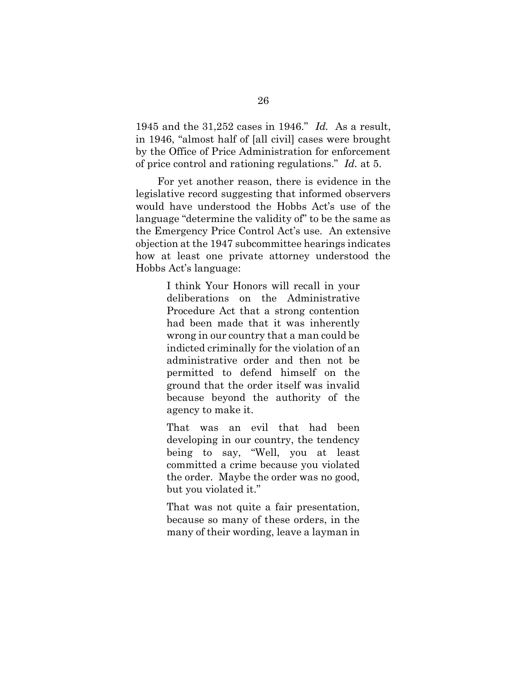1945 and the 31,252 cases in 1946." Id. As a result, in 1946, "almost half of [all civil] cases were brought by the Office of Price Administration for enforcement of price control and rationing regulations." Id. at 5.

 For yet another reason, there is evidence in the legislative record suggesting that informed observers would have understood the Hobbs Act's use of the language "determine the validity of" to be the same as the Emergency Price Control Act's use. An extensive objection at the 1947 subcommittee hearings indicates how at least one private attorney understood the Hobbs Act's language:

> I think Your Honors will recall in your deliberations on the Administrative Procedure Act that a strong contention had been made that it was inherently wrong in our country that a man could be indicted criminally for the violation of an administrative order and then not be permitted to defend himself on the ground that the order itself was invalid because beyond the authority of the agency to make it.

> That was an evil that had been developing in our country, the tendency being to say, "Well, you at least committed a crime because you violated the order. Maybe the order was no good, but you violated it."

> That was not quite a fair presentation, because so many of these orders, in the many of their wording, leave a layman in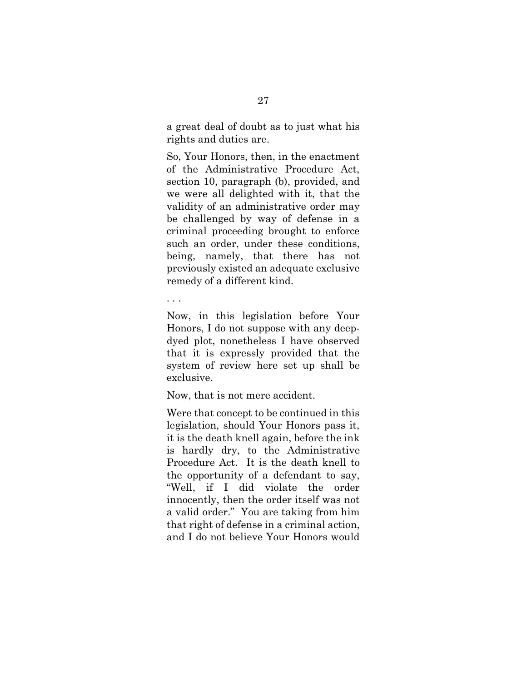a great deal of doubt as to just what his rights and duties are.

So, Your Honors, then, in the enactment of the Administrative Procedure Act, section 10, paragraph (b), provided, and we were all delighted with it, that the validity of an administrative order may be challenged by way of defense in a criminal proceeding brought to enforce such an order, under these conditions, being, namely, that there has not previously existed an adequate exclusive remedy of a different kind.

. . .

Now, in this legislation before Your Honors, I do not suppose with any deepdyed plot, nonetheless I have observed that it is expressly provided that the system of review here set up shall be exclusive.

Now, that is not mere accident.

Were that concept to be continued in this legislation, should Your Honors pass it, it is the death knell again, before the ink is hardly dry, to the Administrative Procedure Act. It is the death knell to the opportunity of a defendant to say, "Well, if I did violate the order innocently, then the order itself was not a valid order." You are taking from him that right of defense in a criminal action, and I do not believe Your Honors would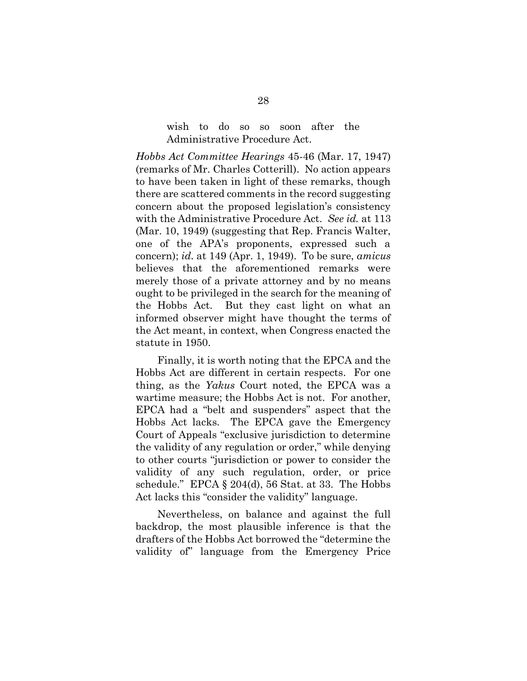#### wish to do so so soon after the Administrative Procedure Act.

Hobbs Act Committee Hearings 45-46 (Mar. 17, 1947) (remarks of Mr. Charles Cotterill). No action appears to have been taken in light of these remarks, though there are scattered comments in the record suggesting concern about the proposed legislation's consistency with the Administrative Procedure Act. See id. at 113 (Mar. 10, 1949) (suggesting that Rep. Francis Walter, one of the APA's proponents, expressed such a concern); id. at  $149$  (Apr. 1, 1949). To be sure, amicus believes that the aforementioned remarks were merely those of a private attorney and by no means ought to be privileged in the search for the meaning of the Hobbs Act. But they cast light on what an informed observer might have thought the terms of the Act meant, in context, when Congress enacted the statute in 1950.

 Finally, it is worth noting that the EPCA and the Hobbs Act are different in certain respects. For one thing, as the Yakus Court noted, the EPCA was a wartime measure; the Hobbs Act is not. For another, EPCA had a "belt and suspenders" aspect that the Hobbs Act lacks. The EPCA gave the Emergency Court of Appeals "exclusive jurisdiction to determine the validity of any regulation or order," while denying to other courts "jurisdiction or power to consider the validity of any such regulation, order, or price schedule." EPCA § 204(d), 56 Stat. at 33. The Hobbs Act lacks this "consider the validity" language.

 Nevertheless, on balance and against the full backdrop, the most plausible inference is that the drafters of the Hobbs Act borrowed the "determine the validity of" language from the Emergency Price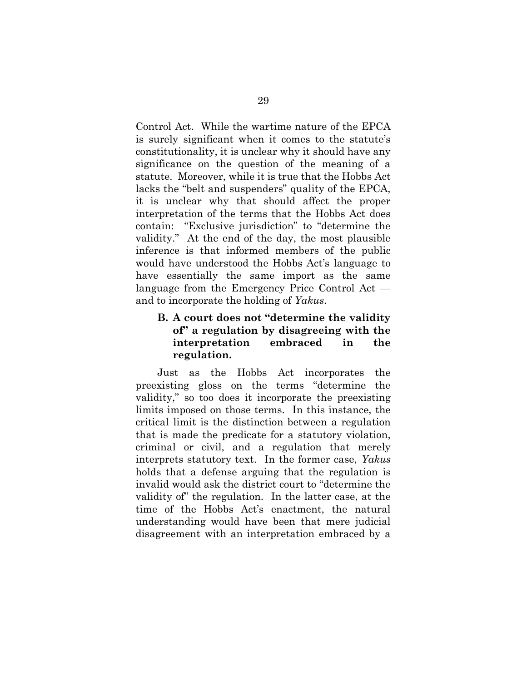Control Act. While the wartime nature of the EPCA is surely significant when it comes to the statute's constitutionality, it is unclear why it should have any significance on the question of the meaning of a statute. Moreover, while it is true that the Hobbs Act lacks the "belt and suspenders" quality of the EPCA, it is unclear why that should affect the proper interpretation of the terms that the Hobbs Act does contain: "Exclusive jurisdiction" to "determine the validity." At the end of the day, the most plausible inference is that informed members of the public would have understood the Hobbs Act's language to have essentially the same import as the same language from the Emergency Price Control Act and to incorporate the holding of Yakus.

## B. A court does not "determine the validity of" a regulation by disagreeing with the interpretation embraced in the regulation.

 Just as the Hobbs Act incorporates the preexisting gloss on the terms "determine the validity," so too does it incorporate the preexisting limits imposed on those terms. In this instance, the critical limit is the distinction between a regulation that is made the predicate for a statutory violation, criminal or civil, and a regulation that merely interprets statutory text. In the former case, Yakus holds that a defense arguing that the regulation is invalid would ask the district court to "determine the validity of" the regulation. In the latter case, at the time of the Hobbs Act's enactment, the natural understanding would have been that mere judicial disagreement with an interpretation embraced by a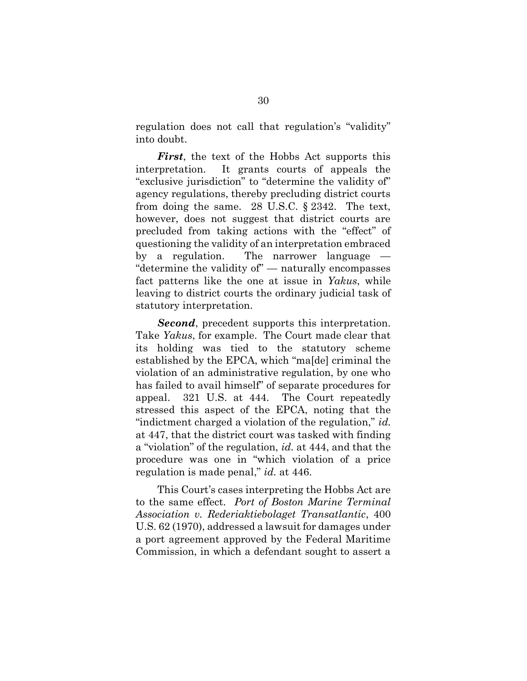regulation does not call that regulation's "validity" into doubt.

First, the text of the Hobbs Act supports this interpretation. It grants courts of appeals the "exclusive jurisdiction" to "determine the validity of" agency regulations, thereby precluding district courts from doing the same. 28 U.S.C. § 2342. The text, however, does not suggest that district courts are precluded from taking actions with the "effect" of questioning the validity of an interpretation embraced by a regulation. The narrower language — "determine the validity of" — naturally encompasses fact patterns like the one at issue in Yakus, while leaving to district courts the ordinary judicial task of statutory interpretation.

Second, precedent supports this interpretation. Take Yakus, for example. The Court made clear that its holding was tied to the statutory scheme established by the EPCA, which "ma[de] criminal the violation of an administrative regulation, by one who has failed to avail himself" of separate procedures for appeal. 321 U.S. at 444. The Court repeatedly stressed this aspect of the EPCA, noting that the "indictment charged a violation of the regulation," id. at 447, that the district court was tasked with finding a "violation" of the regulation, id. at 444, and that the procedure was one in "which violation of a price regulation is made penal," id. at 446.

 This Court's cases interpreting the Hobbs Act are to the same effect. Port of Boston Marine Terminal Association v. Rederiaktiebolaget Transatlantic, 400 U.S. 62 (1970), addressed a lawsuit for damages under a port agreement approved by the Federal Maritime Commission, in which a defendant sought to assert a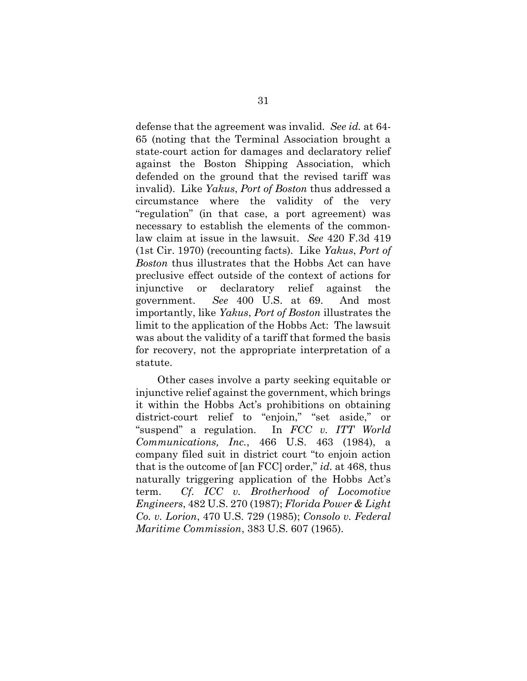defense that the agreement was invalid. See id. at 64- 65 (noting that the Terminal Association brought a state-court action for damages and declaratory relief against the Boston Shipping Association, which defended on the ground that the revised tariff was invalid). Like Yakus, Port of Boston thus addressed a circumstance where the validity of the very "regulation" (in that case, a port agreement) was necessary to establish the elements of the commonlaw claim at issue in the lawsuit. See 420 F.3d 419 (1st Cir. 1970) (recounting facts). Like Yakus, Port of Boston thus illustrates that the Hobbs Act can have preclusive effect outside of the context of actions for injunctive or declaratory relief against the government. See 400 U.S. at 69. And most importantly, like Yakus, Port of Boston illustrates the limit to the application of the Hobbs Act: The lawsuit was about the validity of a tariff that formed the basis for recovery, not the appropriate interpretation of a statute.

 Other cases involve a party seeking equitable or injunctive relief against the government, which brings it within the Hobbs Act's prohibitions on obtaining district-court relief to "enjoin," "set aside," or "suspend" a regulation. In FCC v. ITT World Communications, Inc., 466 U.S. 463 (1984), a company filed suit in district court "to enjoin action that is the outcome of [an FCC] order," id. at 468, thus naturally triggering application of the Hobbs Act's term. Cf. ICC v. Brotherhood of Locomotive Engineers, 482 U.S. 270 (1987); Florida Power & Light Co. v. Lorion, 470 U.S. 729 (1985); Consolo v. Federal Maritime Commission, 383 U.S. 607 (1965).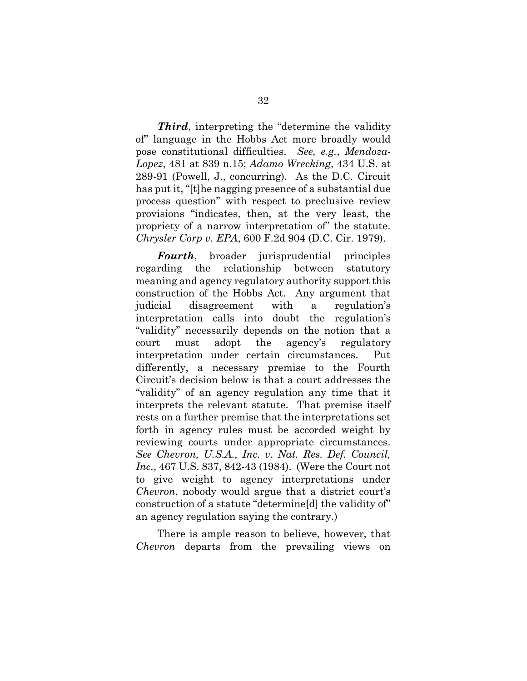Third, interpreting the "determine the validity" of" language in the Hobbs Act more broadly would pose constitutional difficulties. See, e.g., Mendoza-Lopez, 481 at 839 n.15; Adamo Wrecking, 434 U.S. at 289-91 (Powell, J., concurring). As the D.C. Circuit has put it, "[t]he nagging presence of a substantial due process question" with respect to preclusive review provisions "indicates, then, at the very least, the propriety of a narrow interpretation of" the statute. Chrysler Corp v. EPA, 600 F.2d 904 (D.C. Cir. 1979).

Fourth, broader jurisprudential principles regarding the relationship between statutory meaning and agency regulatory authority support this construction of the Hobbs Act. Any argument that judicial disagreement with a regulation's interpretation calls into doubt the regulation's "validity" necessarily depends on the notion that a court must adopt the agency's regulatory interpretation under certain circumstances. Put differently, a necessary premise to the Fourth Circuit's decision below is that a court addresses the "validity" of an agency regulation any time that it interprets the relevant statute. That premise itself rests on a further premise that the interpretations set forth in agency rules must be accorded weight by reviewing courts under appropriate circumstances. See Chevron, U.S.A., Inc. v. Nat. Res. Def. Council, Inc., 467 U.S. 837, 842-43 (1984). (Were the Court not to give weight to agency interpretations under Chevron, nobody would argue that a district court's construction of a statute "determine[d] the validity of" an agency regulation saying the contrary.)

 There is ample reason to believe, however, that Chevron departs from the prevailing views on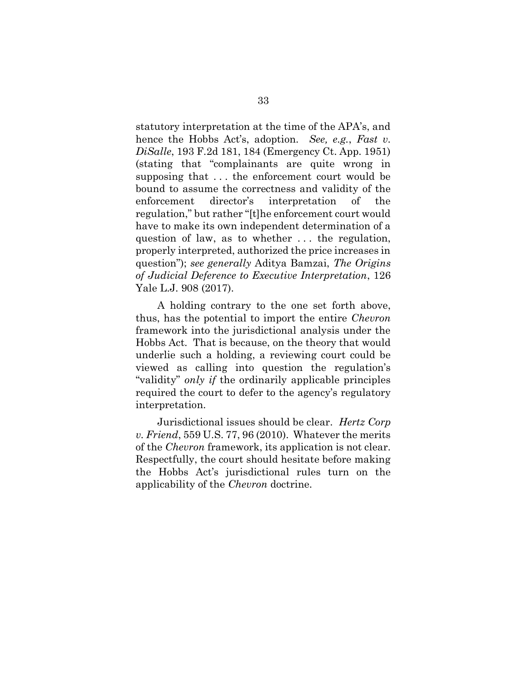statutory interpretation at the time of the APA's, and hence the Hobbs Act's, adoption. See, e.g., Fast v. DiSalle, 193 F.2d 181, 184 (Emergency Ct. App. 1951) (stating that "complainants are quite wrong in supposing that . . . the enforcement court would be bound to assume the correctness and validity of the enforcement director's interpretation of the regulation," but rather "[t]he enforcement court would have to make its own independent determination of a question of law, as to whether . . . the regulation, properly interpreted, authorized the price increases in question"); see generally Aditya Bamzai, The Origins of Judicial Deference to Executive Interpretation, 126 Yale L.J. 908 (2017).

 A holding contrary to the one set forth above, thus, has the potential to import the entire Chevron framework into the jurisdictional analysis under the Hobbs Act. That is because, on the theory that would underlie such a holding, a reviewing court could be viewed as calling into question the regulation's "validity" only if the ordinarily applicable principles required the court to defer to the agency's regulatory interpretation.

 Jurisdictional issues should be clear. Hertz Corp v. Friend, 559 U.S. 77, 96 (2010). Whatever the merits of the Chevron framework, its application is not clear. Respectfully, the court should hesitate before making the Hobbs Act's jurisdictional rules turn on the applicability of the Chevron doctrine.